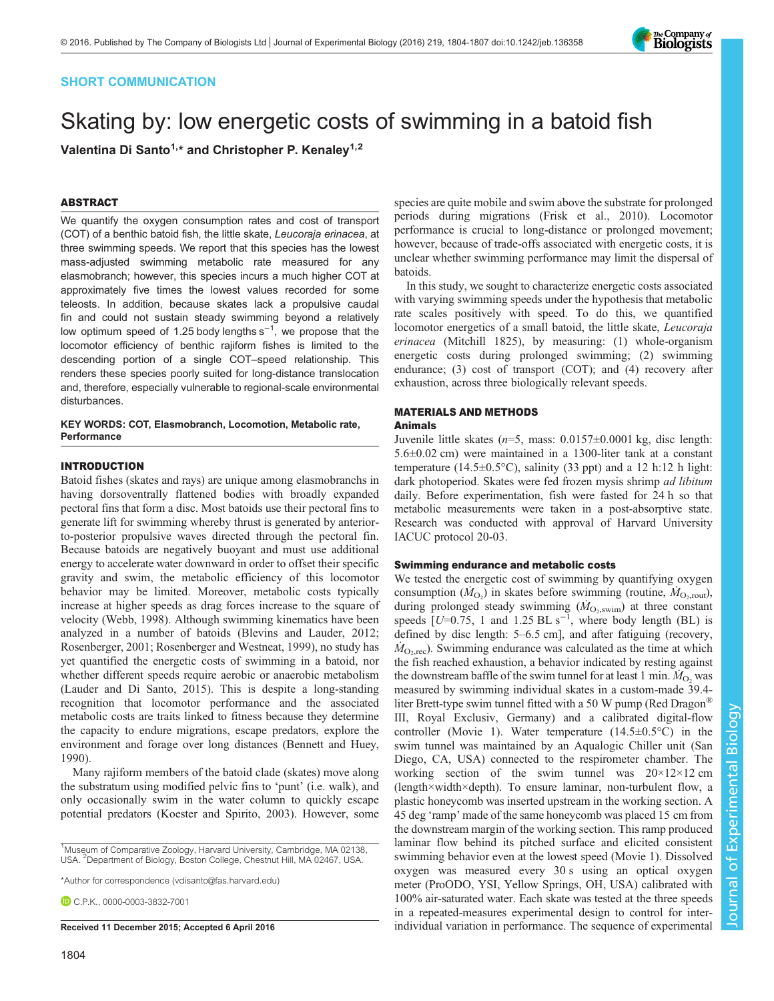

# SHORT COMMUNICATION

# Skating by: low energetic costs of swimming in a batoid fish

Valentina Di Santo<sup>1,\*</sup> and Christopher P. Kenaley<sup>1,2</sup>

## ABSTRACT

We quantify the oxygen consumption rates and cost of transport (COT) of a benthic batoid fish, the little skate, Leucoraja erinacea, at three swimming speeds. We report that this species has the lowest mass-adjusted swimming metabolic rate measured for any elasmobranch; however, this species incurs a much higher COT at approximately five times the lowest values recorded for some teleosts. In addition, because skates lack a propulsive caudal fin and could not sustain steady swimming beyond a relatively low optimum speed of 1.25 body lengths s<sup>-1</sup>, we propose that the locomotor efficiency of benthic rajiform fishes is limited to the descending portion of a single COT–speed relationship. This renders these species poorly suited for long-distance translocation and, therefore, especially vulnerable to regional-scale environmental disturbances.

KEY WORDS: COT, Elasmobranch, Locomotion, Metabolic rate, **Performance** 

## INTRODUCTION

Batoid fishes (skates and rays) are unique among elasmobranchs in having dorsoventrally flattened bodies with broadly expanded pectoral fins that form a disc. Most batoids use their pectoral fins to generate lift for swimming whereby thrust is generated by anteriorto-posterior propulsive waves directed through the pectoral fin. Because batoids are negatively buoyant and must use additional energy to accelerate water downward in order to offset their specific gravity and swim, the metabolic efficiency of this locomotor behavior may be limited. Moreover, metabolic costs typically increase at higher speeds as drag forces increase to the square of velocity ([Webb, 1998](#page-3-0)). Although swimming kinematics have been analyzed in a number of batoids [\(Blevins and Lauder, 2012](#page-2-0); [Rosenberger, 2001; Rosenberger and Westneat, 1999](#page-3-0)), no study has yet quantified the energetic costs of swimming in a batoid, nor whether different speeds require aerobic or anaerobic metabolism [\(Lauder and Di Santo, 2015\)](#page-3-0). This is despite a long-standing recognition that locomotor performance and the associated metabolic costs are traits linked to fitness because they determine the capacity to endure migrations, escape predators, explore the environment and forage over long distances ([Bennett and Huey,](#page-2-0) [1990](#page-2-0)).

Many rajiform members of the batoid clade (skates) move along the substratum using modified pelvic fins to 'punt' (i.e. walk), and only occasionally swim in the water column to quickly escape potential predators [\(Koester and Spirito, 2003\)](#page-3-0). However, some

\*Author for correspondence [\(vdisanto@fas.harvard.edu](mailto:vdisanto@fas.harvard.edu))

C.P.K., [0000-0003-3832-7001](http://orcid.org/0000-0003-3832-7001)

species are quite mobile and swim above the substrate for prolonged periods during migrations [\(Frisk et al., 2010](#page-3-0)). Locomotor performance is crucial to long-distance or prolonged movement; however, because of trade-offs associated with energetic costs, it is unclear whether swimming performance may limit the dispersal of batoids.

In this study, we sought to characterize energetic costs associated with varying swimming speeds under the hypothesis that metabolic rate scales positively with speed. To do this, we quantified locomotor energetics of a small batoid, the little skate, Leucoraja erinacea (Mitchill 1825), by measuring: (1) whole-organism energetic costs during prolonged swimming; (2) swimming endurance; (3) cost of transport (COT); and (4) recovery after exhaustion, across three biologically relevant speeds.

## MATERIALS AND METHODS

## Animals

Juvenile little skates  $(n=5, \text{ mass}: 0.0157 \pm 0.0001 \text{ kg}, \text{ disc length}:$ 5.6±0.02 cm) were maintained in a 1300-liter tank at a constant temperature (14.5 $\pm$ 0.5°C), salinity (33 ppt) and a 12 h:12 h light: dark photoperiod. Skates were fed frozen mysis shrimp ad libitum daily. Before experimentation, fish were fasted for 24 h so that metabolic measurements were taken in a post-absorptive state. Research was conducted with approval of Harvard University IACUC protocol 20-03.

## Swimming endurance and metabolic costs

We tested the energetic cost of swimming by quantifying oxygen consumption  $(M<sub>O<sub>2</sub></sub>)$  in skates before swimming (routine,  $M<sub>O<sub>2</sub>,</sub>$ <sub>Out</sub>), during prolonged steady swimming  $(M<sub>O<sub>2</sub>, swim)</sub>$  at three constant speeds  $[U=0.75, 1$  and 1.25 BL s<sup>-1</sup>, where body length (BL) is defined by disc length: 5–6.5 cm], and after fatiguing (recovery,  $M_{\text{O}_2, \text{rec}}$ ). Swimming endurance was calculated as the time at which the fish reached exhaustion, a behavior indicated by resting against the downstream baffle of the swim tunnel for at least 1 min.  $M_{\text{O}_2}$  was measured by swimming individual skates in a custom-made 39.4 liter Brett-type swim tunnel fitted with a 50 W pump (Red Dragon® III, Royal Exclusiv, Germany) and a calibrated digital-flow controller [\(Movie 1\)](http://jeb.biologists.org/lookup/suppl/doi:10.1242/jeb.136358/-/DC1). Water temperature (14.5±0.5°C) in the swim tunnel was maintained by an Aqualogic Chiller unit (San Diego, CA, USA) connected to the respirometer chamber. The working section of the swim tunnel was  $20 \times 12 \times 12$  cm (length×width×depth). To ensure laminar, non-turbulent flow, a plastic honeycomb was inserted upstream in the working section. A 45 deg 'ramp' made of the same honeycomb was placed 15 cm from the downstream margin of the working section. This ramp produced laminar flow behind its pitched surface and elicited consistent swimming behavior even at the lowest speed ([Movie 1](http://jeb.biologists.org/lookup/suppl/doi:10.1242/jeb.136358/-/DC1)). Dissolved oxygen was measured every 30 s using an optical oxygen meter (ProODO, YSI, Yellow Springs, OH, USA) calibrated with 100% air-saturated water. Each skate was tested at the three speeds in a repeated-measures experimental design to control for inter-Received 11 December 2015; Accepted 6 April 2016 individual variation in performance. The sequence of experimental

<sup>&</sup>lt;sup>1</sup>Museum of Comparative Zoology, Harvard University, Cambridge, MA 02138, USA. <sup>2</sup>Department of Biology, Boston College, Chestnut Hill, MA 02467, USA.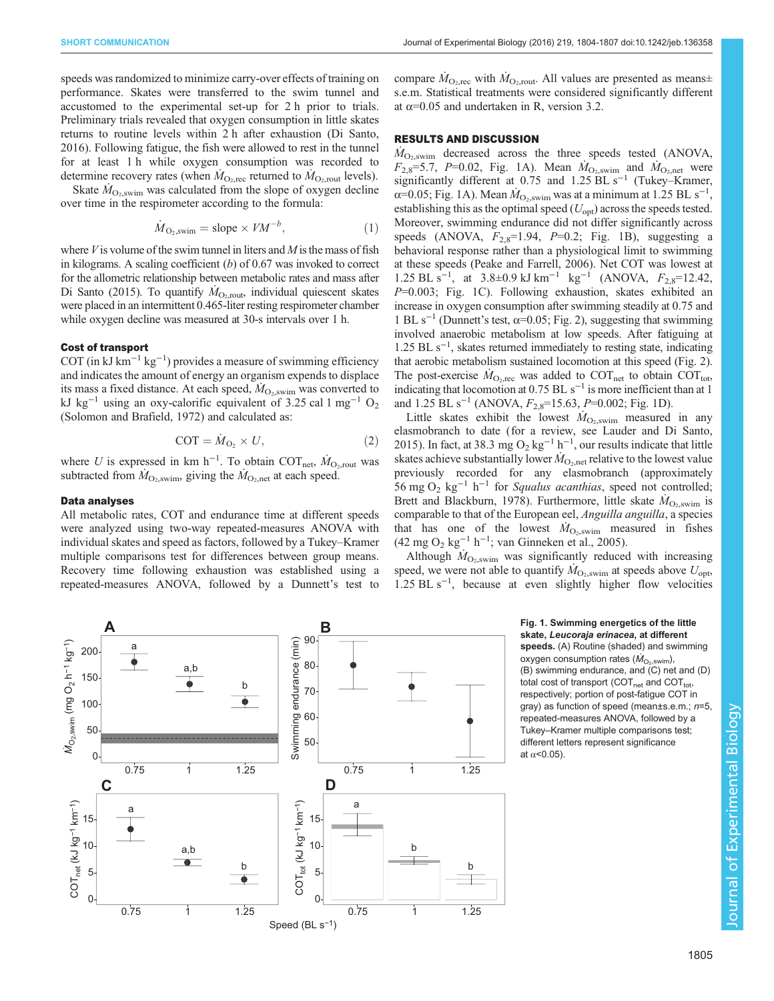speeds was randomized to minimize carry-over effects of training on performance. Skates were transferred to the swim tunnel and accustomed to the experimental set-up for 2 h prior to trials. Preliminary trials revealed that oxygen consumption in little skates returns to routine levels within 2 h after exhaustion [\(Di Santo,](#page-3-0) [2016](#page-3-0)). Following fatigue, the fish were allowed to rest in the tunnel for at least 1 h while oxygen consumption was recorded to determine recovery rates (when  $\dot{M}_{O_2,rec}$  returned to  $\dot{M}_{O_2,rout}$  levels).

Skate  $M_{\text{O}_2,\text{swim}}$  was calculated from the slope of oxygen decline over time in the respirometer according to the formula:

$$
\dot{M}_{\text{O}_2,\text{swim}} = \text{slope} \times V M^{-b},\tag{1}
$$

where  $V$  is volume of the swim tunnel in liters and  $M$  is the mass of fish in kilograms. A scaling coefficient  $(b)$  of 0.67 was invoked to correct for the allometric relationship between metabolic rates and mass after [Di Santo \(2015\)](#page-2-0). To quantify  $\dot{M}_{\text{O}_2,\text{rout}}$ , individual quiescent skates were placed in an intermittent 0.465-liter resting respirometer chamber while oxygen decline was measured at 30-s intervals over 1 h.

#### Cost of transport

COT (in kJ km<sup>-1</sup> kg<sup>-1</sup>) provides a measure of swimming efficiency and indicates the amount of energy an organism expends to displace its mass a fixed distance. At each speed,  $M_{\text{O}_2,\text{swim}}$  was converted to kJ kg<sup>-1</sup> using an oxy-calorific equivalent of 3.25 cal 1 mg<sup>-1</sup> O<sub>2</sub> [\(Solomon and Brafield, 1972\)](#page-3-0) and calculated as:

$$
COT = \dot{M}_{O_2} \times U,
$$
 (2)

where U is expressed in km h<sup>-1</sup>. To obtain COT<sub>net</sub>,  $\dot{M}_{\text{O}_2,\text{rout}}$  was subtracted from  $M_{\text{O}_2,\text{swim}}$ , giving the  $M_{\text{O}_2,\text{net}}$  at each speed.

### Data analyses

All metabolic rates, COT and endurance time at different speeds were analyzed using two-way repeated-measures ANOVA with individual skates and speed as factors, followed by a Tukey–Kramer multiple comparisons test for differences between group means. Recovery time following exhaustion was established using a repeated-measures ANOVA, followed by a Dunnett's test to compare  $\dot{M}_{\text{O}_2,\text{rec}}$  with  $\dot{M}_{\text{O}_2,\text{rout}}$ . All values are presented as means $\pm$ s.e.m. Statistical treatments were considered significantly different at  $\alpha$ =0.05 and undertaken in R, version 3.2.

## RESULTS AND DISCUSSION

 $M_{\text{O}_2,\text{swim}}$  decreased across the three speeds tested (ANOVA,  $F_{2,8}=5.7$ , P=0.02, Fig. 1A). Mean  $\dot{M}_{\text{O}_2,\text{swim}}$  and  $\dot{M}_{\text{O}_2,\text{net}}$  were significantly different at 0.75 and 1.25 BL s<sup>-1</sup> (Tukey–Kramer,  $\alpha$ =0.05; Fig. 1A). Mean  $\dot{M}_{\text{O}_2,\text{swim}}$  was at a minimum at 1.25 BL s<sup>-1</sup>, establishing this as the optimal speed  $(U_{opt})$  across the speeds tested. Moreover, swimming endurance did not differ significantly across speeds (ANOVA,  $F_{2,8}=1.94$ ,  $P=0.2$ ; Fig. 1B), suggesting a behavioral response rather than a physiological limit to swimming at these speeds [\(Peake and Farrell, 2006](#page-3-0)). Net COT was lowest at 1.25 BL s<sup>-1</sup>, at 3.8±0.9 kJ km<sup>-1</sup> kg<sup>-1</sup> (ANOVA,  $F_{2,8}$ =12.42, P=0.003; Fig. 1C). Following exhaustion, skates exhibited an increase in oxygen consumption after swimming steadily at 0.75 and 1 BL s<sup>-1</sup> (Dunnett's test,  $\alpha$ =0.05; [Fig. 2](#page-2-0)), suggesting that swimming involved anaerobic metabolism at low speeds. After fatiguing at 1.25 BL s−<sup>1</sup> , skates returned immediately to resting state, indicating that aerobic metabolism sustained locomotion at this speed ([Fig. 2\)](#page-2-0). The post-exercise  $\dot{M}_{\text{O}_2,\text{rec}}$  was added to COT<sub>net</sub> to obtain COT<sub>tot</sub>, indicating that locomotion at  $0.75$  BL s<sup>-1</sup> is more inefficient than at 1 and 1.25 BL s<sup>-1</sup> (ANOVA,  $F_{2,8}$ =15.63, P=0.002; Fig. 1D).

Little skates exhibit the lowest  $\dot{M}_{\text{O}_2,\text{swim}}$  measured in any elasmobranch to date (for a review, see [Lauder and Di Santo,](#page-3-0) [2015\)](#page-3-0). In fact, at 38.3 mg O<sub>2</sub> kg<sup>-1</sup> h<sup>-1</sup>, our results indicate that little skates achieve substantially lower  $\dot{M}_{\text{O}_2,\text{net}}$  relative to the lowest value previously recorded for any elasmobranch (approximately 56 mg O<sub>2</sub> kg<sup>-1</sup> h<sup>-1</sup> for Squalus acanthias, speed not controlled; [Brett and Blackburn, 1978\)](#page-2-0). Furthermore, little skate  $\dot{M}_{\text{O}_2,\text{swim}}$  is comparable to that of the European eel, Anguilla anguilla, a species that has one of the lowest  $\dot{M}_{\text{O}_2,\text{swim}}$  measured in fishes  $(42 \text{ mg } O_2 \text{ kg}^{-1} \text{ h}^{-1}$ ; [van Ginneken et al., 2005\)](#page-3-0).

Although  $\dot{M}_{\text{O}_2,\text{swim}}$  was significantly reduced with increasing speed, we were not able to quantify  $\dot{M}_{\text{O}_2,\text{swim}}$  at speeds above  $U_{\text{opt}}$ , 1.25 BL s−<sup>1</sup> , because at even slightly higher flow velocities



Fig. 1. Swimming energetics of the little skate, Leucoraja erinacea, at different speeds. (A) Routine (shaded) and swimming oxygen consumption rates  $(M_{O<sub>2</sub>,swim})$ , (B) swimming endurance, and (C) net and (D) total cost of transport (COT<sub>net</sub> and COT<sub>tot</sub>, respectively; portion of post-fatigue COT in gray) as function of speed (mean±s.e.m.; n=5, repeated-measures ANOVA, followed by a Tukey–Kramer multiple comparisons test; different letters represent significance at  $\alpha$ <0.05).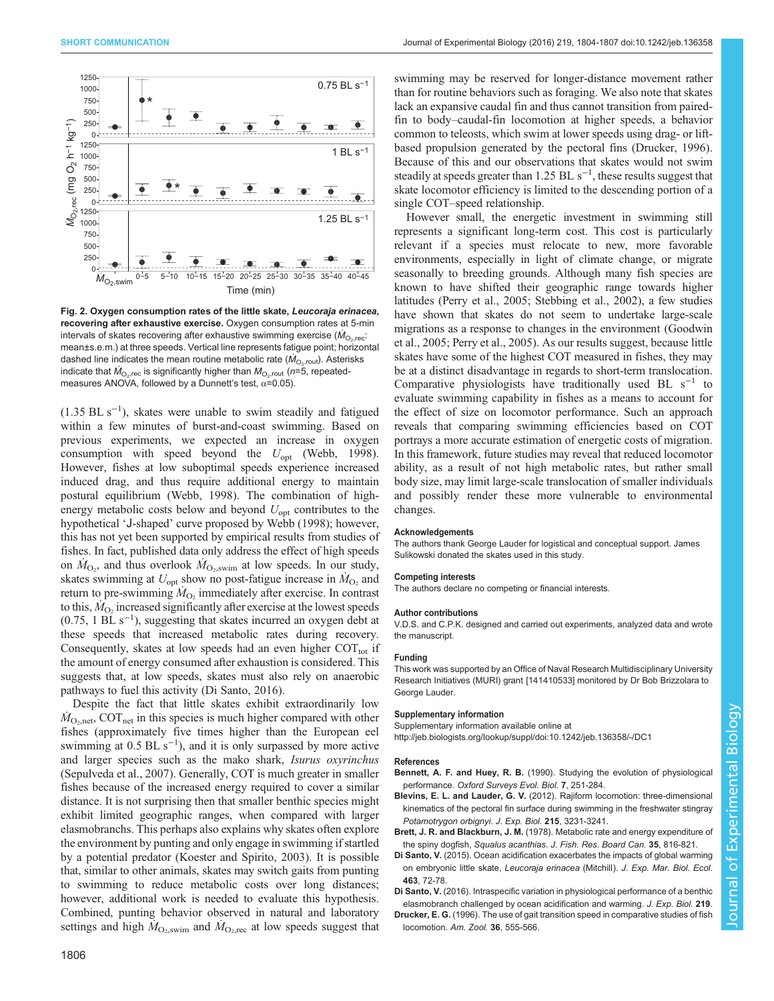<span id="page-2-0"></span>

Fig. 2. Oxygen consumption rates of the little skate, Leucoraja erinacea, recovering after exhaustive exercise. Oxygen consumption rates at 5-min intervals of skates recovering after exhaustive swimming exercise ( $M_{\odot,rec}$ : mean±s.e.m.) at three speeds. Vertical line represents fatigue point; horizontal dashed line indicates the mean routine metabolic rate ( $\dot{M}_{\odot, \text{rout}}$ ). Asterisks indicate that  $\dot{M}_{\odot,rec}$  is significantly higher than  $M_{\odot,rout}$  (n=5, repeatedmeasures ANOVA, followed by a Dunnett's test,  $\alpha$ =0.05).

 $(1.35 \text{ BL s}^{-1})$ , skates were unable to swim steadily and fatigued within a few minutes of burst-and-coast swimming. Based on previous experiments, we expected an increase in oxygen consumption with speed beyond the  $U_{\text{opt}}$  ([Webb, 1998\)](#page-3-0). However, fishes at low suboptimal speeds experience increased induced drag, and thus require additional energy to maintain postural equilibrium [\(Webb, 1998](#page-3-0)). The combination of highenergy metabolic costs below and beyond  $U_{\text{opt}}$  contributes to the hypothetical 'J-shaped' curve proposed by Webb ([1998\)](#page-3-0); however, this has not yet been supported by empirical results from studies of fishes. In fact, published data only address the effect of high speeds on  $\dot{M}_{\text{O}_2}$ , and thus overlook  $\dot{M}_{\text{O}_2,\text{swim}}$  at low speeds. In our study, skates swimming at  $U_{opt}$  show no post-fatigue increase in  $\dot{M}_{O_2}$  and return to pre-swimming  $\dot{M}_{\text{O}_2}$  immediately after exercise. In contrast to this,  $M<sub>O</sub>$ , increased significantly after exercise at the lowest speeds (0.75, 1 BL s−<sup>1</sup> ), suggesting that skates incurred an oxygen debt at these speeds that increased metabolic rates during recovery. Consequently, skates at low speeds had an even higher  $\text{COT}_{\text{tot}}$  if the amount of energy consumed after exhaustion is considered. This suggests that, at low speeds, skates must also rely on anaerobic pathways to fuel this activity (Di Santo, 2016).

Despite the fact that little skates exhibit extraordinarily low  $M_{\text{O}_2,net}$ , COT<sub>net</sub> in this species is much higher compared with other fishes (approximately five times higher than the European eel swimming at  $0.5$  BL s<sup>-1</sup>), and it is only surpassed by more active and larger species such as the mako shark, Isurus oxyrinchus [\(Sepulveda et al., 2007\)](#page-3-0). Generally, COT is much greater in smaller fishes because of the increased energy required to cover a similar distance. It is not surprising then that smaller benthic species might exhibit limited geographic ranges, when compared with larger elasmobranchs. This perhaps also explains why skates often explore the environment by punting and only engage in swimming if startled by a potential predator ([Koester and Spirito, 2003\)](#page-3-0). It is possible that, similar to other animals, skates may switch gaits from punting to swimming to reduce metabolic costs over long distances; however, additional work is needed to evaluate this hypothesis. Combined, punting behavior observed in natural and laboratory settings and high  $M_{\text{O}_2,\text{swim}}$  and  $M_{\text{O}_2,\text{rec}}$  at low speeds suggest that

1806

swimming may be reserved for longer-distance movement rather than for routine behaviors such as foraging. We also note that skates lack an expansive caudal fin and thus cannot transition from pairedfin to body–caudal-fin locomotion at higher speeds, a behavior common to teleosts, which swim at lower speeds using drag- or liftbased propulsion generated by the pectoral fins (Drucker, 1996). Because of this and our observations that skates would not swim steadily at speeds greater than 1.25 BL  $s^{-1}$ , these results suggest that skate locomotor efficiency is limited to the descending portion of a single COT–speed relationship.

However small, the energetic investment in swimming still represents a significant long-term cost. This cost is particularly relevant if a species must relocate to new, more favorable environments, especially in light of climate change, or migrate seasonally to breeding grounds. Although many fish species are known to have shifted their geographic range towards higher latitudes [\(Perry et al., 2005](#page-3-0); [Stebbing et al., 2002\)](#page-3-0), a few studies have shown that skates do not seem to undertake large-scale migrations as a response to changes in the environment ([Goodwin](#page-3-0) [et al., 2005](#page-3-0); [Perry et al., 2005](#page-3-0)). As our results suggest, because little skates have some of the highest COT measured in fishes, they may be at a distinct disadvantage in regards to short-term translocation. Comparative physiologists have traditionally used BL  $s^{-1}$  to evaluate swimming capability in fishes as a means to account for the effect of size on locomotor performance. Such an approach reveals that comparing swimming efficiencies based on COT portrays a more accurate estimation of energetic costs of migration. In this framework, future studies may reveal that reduced locomotor ability, as a result of not high metabolic rates, but rather small body size, may limit large-scale translocation of smaller individuals and possibly render these more vulnerable to environmental changes.

#### Acknowledgements

The authors thank George Lauder for logistical and conceptual support. James Sulikowski donated the skates used in this study.

#### Competing interests

The authors declare no competing or financial interests.

#### Author contributions

V.D.S. and C.P.K. designed and carried out experiments, analyzed data and wrote the manuscript.

#### Funding

This work was supported by an Office of Naval Research Multidisciplinary University Research Initiatives (MURI) grant [141410533] monitored by Dr Bob Brizzolara to George Lauder.

#### Supplementary information

Supplementary information available online at <http://jeb.biologists.org/lookup/suppl/doi:10.1242/jeb.136358/-/DC1>

#### References

- Bennett, A. F. and Huey, R. B. (1990). Studying the evolution of physiological performance. Oxford Surveys Evol. Biol. 7, 251-284.
- Blevins, E. L. and Lauder, G. V. [\(2012\). Rajiform locomotion: three-dimensional](http://dx.doi.org/10.1242/jeb.068981) [kinematics of the pectoral fin surface during swimming in the freshwater stingray](http://dx.doi.org/10.1242/jeb.068981) [Potamotrygon orbignyi](http://dx.doi.org/10.1242/jeb.068981). J. Exp. Biol. 215, 3231-3241.
- Brett, J. R. and Blackburn, J. M. [\(1978\). Metabolic rate and energy expenditure of](http://dx.doi.org/10.1139/f78-131) the spiny dogfish, Squalus acanthias. [J. Fish. Res. Board Can.](http://dx.doi.org/10.1139/f78-131) 35, 816-821.
- Di Santo, V. [\(2015\). Ocean acidification exacerbates the impacts of global warming](http://dx.doi.org/10.1016/j.jembe.2014.11.006) [on embryonic little skate,](http://dx.doi.org/10.1016/j.jembe.2014.11.006) Leucoraja erinacea (Mitchill). J. Exp. Mar. Biol. Ecol. 463[, 72-78.](http://dx.doi.org/10.1016/j.jembe.2014.11.006)
- Di Santo, V. [\(2016\). Intraspecific variation in physiological performance of a benthic](http://dx.doi.org/10.1242/jeb.139204) [elasmobranch challenged by ocean acidification and warming.](http://dx.doi.org/10.1242/jeb.139204) J. Exp. Biol. 219
- Drucker, E. G. [\(1996\). The use of gait transition speed in comparative studies of fish](http://dx.doi.org/10.1093/icb/36.6.555) [locomotion.](http://dx.doi.org/10.1093/icb/36.6.555) Am. Zool. 36, 555-566.